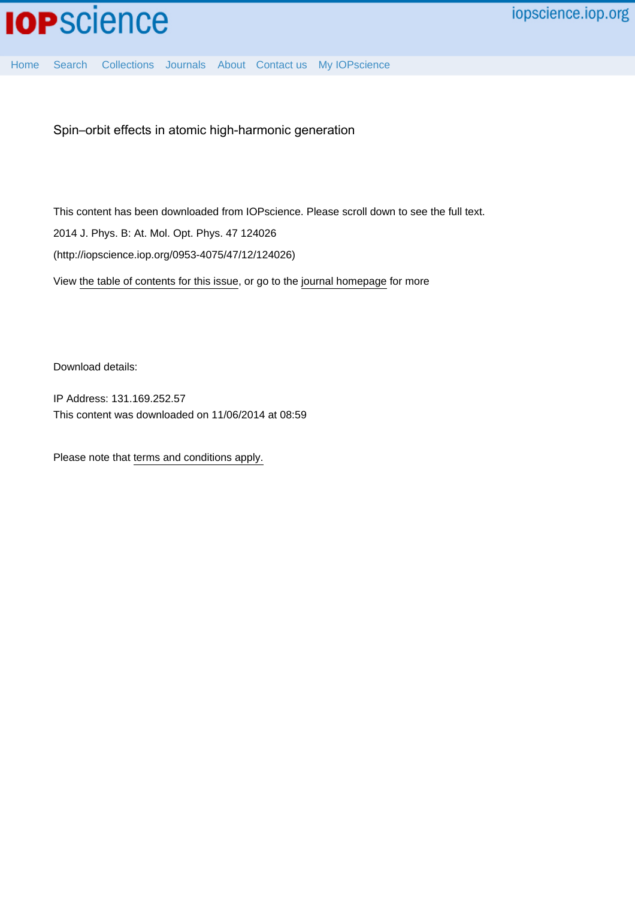

[Home](http://iopscience.iop.org/) [Search](http://iopscience.iop.org/search) [Collections](http://iopscience.iop.org/collections) [Journals](http://iopscience.iop.org/journals) [About](http://iopscience.iop.org/page/aboutioppublishing) [Contact us](http://iopscience.iop.org/contact) [My IOPscience](http://iopscience.iop.org/myiopscience)

Spin–orbit effects in atomic high-harmonic generation

This content has been downloaded from IOPscience. Please scroll down to see the full text. View [the table of contents for this issue](http://iopscience.iop.org/0953-4075/47/12), or go to the [journal homepage](http://iopscience.iop.org/0953-4075) for more 2014 J. Phys. B: At. Mol. Opt. Phys. 47 124026 (http://iopscience.iop.org/0953-4075/47/12/124026)

Download details:

IP Address: 131.169.252.57 This content was downloaded on 11/06/2014 at 08:59

Please note that [terms and conditions apply.](iopscience.iop.org/page/terms)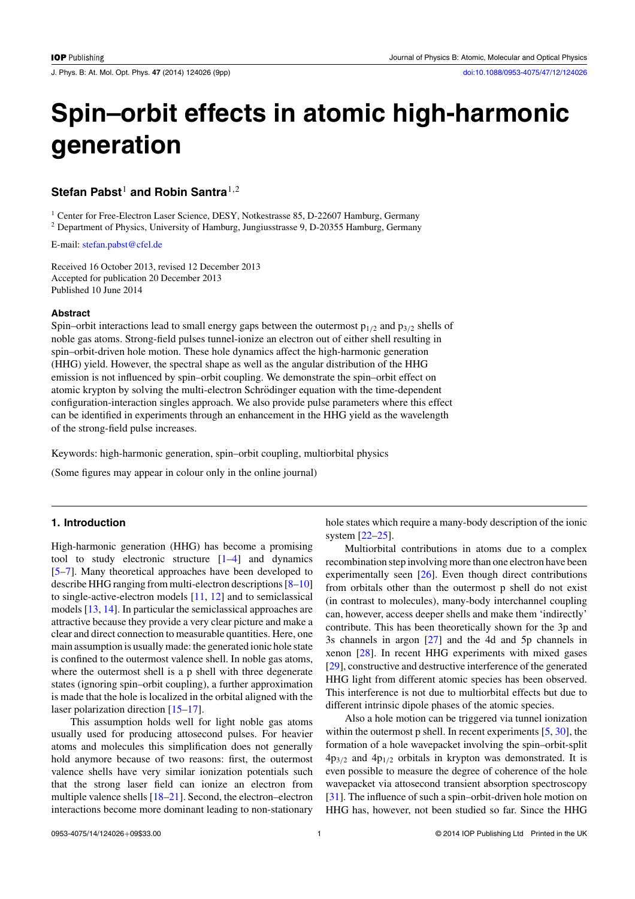J. Phys. B: At. Mol. Opt. Phys. **47** (2014) 124026 (9pp) [doi:10.1088/0953-4075/47/12/124026](http://dx.doi.org/10.1088/0953-4075/47/12/124026)

# **Spin–orbit effects in atomic high-harmonic generation**

## **Stefan Pabst<sup>1</sup> and Robin Santra<sup>1,2</sup>**

<sup>1</sup> Center for Free-Electron Laser Science, DESY, Notkestrasse 85, D-22607 Hamburg, Germany <sup>2</sup> Department of Physics, University of Hamburg, Jungiusstrasse 9, D-20355 Hamburg, Germany

E-mail: [stefan.pabst@cfel.de](mailto:stefan.pabst@cfel.de)

Received 16 October 2013, revised 12 December 2013 Accepted for publication 20 December 2013 Published 10 June 2014

#### **Abstract**

Spin–orbit interactions lead to small energy gaps between the outermost  $p_{1/2}$  and  $p_{3/2}$  shells of noble gas atoms. Strong-field pulses tunnel-ionize an electron out of either shell resulting in spin–orbit-driven hole motion. These hole dynamics affect the high-harmonic generation (HHG) yield. However, the spectral shape as well as the angular distribution of the HHG emission is not influenced by spin–orbit coupling. We demonstrate the spin–orbit effect on atomic krypton by solving the multi-electron Schrödinger equation with the time-dependent configuration-interaction singles approach. We also provide pulse parameters where this effect can be identified in experiments through an enhancement in the HHG yield as the wavelength of the strong-field pulse increases.

Keywords: high-harmonic generation, spin–orbit coupling, multiorbital physics

(Some figures may appear in colour only in the online journal)

## **1. Introduction**

High-harmonic generation (HHG) has become a promising tool to study electronic structure [\[1–4](#page-8-0)] and dynamics [\[5–7](#page-8-0)]. Many theoretical approaches have been developed to describe HHG ranging from multi-electron descriptions [\[8–10\]](#page-8-0) to single-active-electron models [\[11,](#page-8-0) [12](#page-8-0)] and to semiclassical models [\[13](#page-8-0), [14\]](#page-8-0). In particular the semiclassical approaches are attractive because they provide a very clear picture and make a clear and direct connection to measurable quantities. Here, one main assumption is usually made: the generated ionic hole state is confined to the outermost valence shell. In noble gas atoms, where the outermost shell is a p shell with three degenerate states (ignoring spin–orbit coupling), a further approximation is made that the hole is localized in the orbital aligned with the laser polarization direction [\[15–17\]](#page-8-0).

This assumption holds well for light noble gas atoms usually used for producing attosecond pulses. For heavier atoms and molecules this simplification does not generally hold anymore because of two reasons: first, the outermost valence shells have very similar ionization potentials such that the strong laser field can ionize an electron from multiple valence shells [\[18–21](#page-8-0)]. Second, the electron–electron interactions become more dominant leading to non-stationary

hole states which require a many-body description of the ionic system [\[22–25\]](#page-8-0).

Multiorbital contributions in atoms due to a complex recombination step involving more than one electron have been experimentally seen [\[26](#page-8-0)]. Even though direct contributions from orbitals other than the outermost p shell do not exist (in contrast to molecules), many-body interchannel coupling can, however, access deeper shells and make them 'indirectly' contribute. This has been theoretically shown for the 3p and 3s channels in argon [\[27\]](#page-8-0) and the 4d and 5p channels in xenon [\[28](#page-8-0)]. In recent HHG experiments with mixed gases [\[29](#page-8-0)], constructive and destructive interference of the generated HHG light from different atomic species has been observed. This interference is not due to multiorbital effects but due to different intrinsic dipole phases of the atomic species.

Also a hole motion can be triggered via tunnel ionization within the outermost p shell. In recent experiments [\[5,](#page-8-0) [30](#page-8-0)], the formation of a hole wavepacket involving the spin–orbit-split  $4p_{3/2}$  and  $4p_{1/2}$  orbitals in krypton was demonstrated. It is even possible to measure the degree of coherence of the hole wavepacket via attosecond transient absorption spectroscopy [\[31](#page-8-0)]. The influence of such a spin–orbit-driven hole motion on HHG has, however, not been studied so far. Since the HHG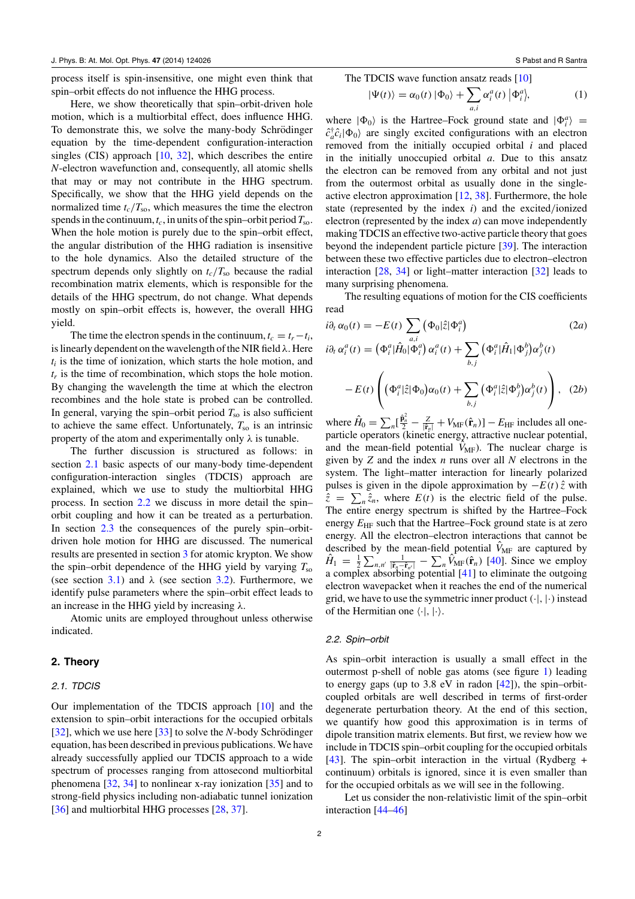<span id="page-2-0"></span>process itself is spin-insensitive, one might even think that spin–orbit effects do not influence the HHG process.

Here, we show theoretically that spin–orbit-driven hole motion, which is a multiorbital effect, does influence HHG. To demonstrate this, we solve the many-body Schrödinger equation by the time-dependent configuration-interaction singles (CIS) approach [\[10](#page-8-0), [32\]](#page-8-0), which describes the entire *N*-electron wavefunction and, consequently, all atomic shells that may or may not contribute in the HHG spectrum. Specifically, we show that the HHG yield depends on the normalized time  $t_c/T_{\text{so}}$ , which measures the time the electron spends in the continuum,  $t_c$ , in units of the spin–orbit period  $T_{so}$ . When the hole motion is purely due to the spin–orbit effect, the angular distribution of the HHG radiation is insensitive to the hole dynamics. Also the detailed structure of the spectrum depends only slightly on  $t_c/T_{\rm so}$  because the radial recombination matrix elements, which is responsible for the details of the HHG spectrum, do not change. What depends mostly on spin–orbit effects is, however, the overall HHG yield.

The time the electron spends in the continuum,  $t_c = t_r - t_i$ , is linearly dependent on the wavelength of the NIR field  $\lambda$ . Here  $t_i$  is the time of ionization, which starts the hole motion, and *tr* is the time of recombination, which stops the hole motion. By changing the wavelength the time at which the electron recombines and the hole state is probed can be controlled. In general, varying the spin–orbit period  $T_{\rm so}$  is also sufficient to achieve the same effect. Unfortunately,  $T_{\rm so}$  is an intrinsic property of the atom and experimentally only  $\lambda$  is tunable.

The further discussion is structured as follows: in section 2.1 basic aspects of our many-body time-dependent configuration-interaction singles (TDCIS) approach are explained, which we use to study the multiorbital HHG process. In section 2.2 we discuss in more detail the spin– orbit coupling and how it can be treated as a perturbation. In section [2.3](#page-3-0) the consequences of the purely spin–orbitdriven hole motion for HHG are discussed. The numerical results are presented in section [3](#page-5-0) for atomic krypton. We show the spin–orbit dependence of the HHG yield by varying  $T_{\rm so}$ (see section [3.1\)](#page-6-0) and  $\lambda$  (see section [3.2\)](#page-7-0). Furthermore, we identify pulse parameters where the spin–orbit effect leads to an increase in the HHG yield by increasing  $\lambda$ .

Atomic units are employed throughout unless otherwise indicated.

## **2. Theory**

## 2.1. TDCIS

Our implementation of the TDCIS approach [\[10\]](#page-8-0) and the extension to spin–orbit interactions for the occupied orbitals [\[32](#page-8-0)], which we use here  $[33]$  $[33]$  to solve the *N*-body Schrödinger equation, has been described in previous publications. We have already successfully applied our TDCIS approach to a wide spectrum of processes ranging from attosecond multiorbital phenomena  $[32, 34]$  $[32, 34]$  $[32, 34]$  $[32, 34]$  to nonlinear x-ray ionization  $[35]$  $[35]$  and to strong-field physics including non-adiabatic tunnel ionization [\[36](#page-8-0)] and multiorbital HHG processes [\[28,](#page-8-0) [37\]](#page-8-0).

The TDCIS wave function ansatz reads [\[10](#page-8-0)]

$$
|\Psi(t)\rangle = \alpha_0(t) |\Phi_0\rangle + \sum_{a,i} \alpha_i^a(t) |\Phi_i^a\rangle, \tag{1}
$$

where  $|\Phi_0\rangle$  is the Hartree–Fock ground state and  $|\Phi_i^a\rangle$  =  $\hat{c}_a^{\dagger} \hat{c}_i |\Phi_0\rangle$  are singly excited configurations with an electron removed from the initially occupied orbital *i* and placed in the initially unoccupied orbital *a*. Due to this ansatz the electron can be removed from any orbital and not just from the outermost orbital as usually done in the singleactive electron approximation [\[12,](#page-8-0) [38\]](#page-9-0). Furthermore, the hole state (represented by the index *i*) and the excited*/*ionized electron (represented by the index *a*) can move independently making TDCIS an effective two-active particle theory that goes beyond the independent particle picture [\[39\]](#page-9-0). The interaction between these two effective particles due to electron–electron interaction [\[28,](#page-8-0) [34\]](#page-8-0) or light–matter interaction [\[32](#page-8-0)] leads to many surprising phenomena.

The resulting equations of motion for the CIS coefficients read

$$
i\partial_t \alpha_0(t) = -E(t) \sum_{a,i} (\Phi_0|\hat{z}|\Phi_i^a)
$$
 (2*a*)  

$$
i\partial_t \alpha_i^a(t) = (\Phi_i^a|\hat{H}_0|\Phi_i^a) \alpha_i^a(t) + \sum_{b,j} (\Phi_i^a|\hat{H}_1|\Phi_j^b) \alpha_j^b(t)
$$

$$
-E(t) \left( (\Phi_i^a|\hat{z}|\Phi_0) \alpha_0(t) + \sum_{b,j} (\Phi_i^a|\hat{z}|\Phi_j^b) \alpha_j^b(t) \right), (2b)
$$

where  $\hat{H}_0 = \sum_n [\frac{\hat{\mathbf{p}}_n^2}{2} - \frac{Z}{|\hat{\mathbf{r}}_n|} + V_{\text{MF}}(\hat{\mathbf{r}}_n)] - E_{\text{HF}}$  includes all oneparticle operators (kinetic energy, attractive nuclear potential, and the mean-field potential  $\hat{V}_{MF}$ ). The nuclear charge is given by *Z* and the index *n* runs over all *N* electrons in the system. The light–matter interaction for linearly polarized pulses is given in the dipole approximation by  $-E(t)\hat{z}$  with  $\hat{z} = \sum_{n} \hat{z}_n$ , where  $E(t)$  is the electric field of the pulse. The entire energy spectrum is shifted by the Hartree–Fock energy  $E_{HF}$  such that the Hartree–Fock ground state is at zero energy. All the electron–electron interactions that cannot be described by the mean-field potential  $\hat{V}_{MF}$  are captured by  $\hat{H}_1 = \frac{1}{2} \sum_{n,n'} \frac{1}{|\hat{\mathbf{r}}_n - \hat{\mathbf{r}}_{n'}|} - \sum_{n} \hat{V}_{\text{MF}}(\hat{\mathbf{r}}_n)$  [\[40](#page-9-0)]. Since we employ a complex absorbing potential [\[41\]](#page-9-0) to eliminate the outgoing electron wavepacket when it reaches the end of the numerical grid, we have to use the symmetric inner product  $(\cdot, \cdot)$  instead of the Hermitian one  $\langle \cdot |, | \cdot \rangle$ .

#### 2.2. Spin–orbit

As spin–orbit interaction is usually a small effect in the outermost p-shell of noble gas atoms (see figure [1\)](#page-3-0) leading to energy gaps (up to 3.8 eV in radon  $[42]$  $[42]$ ), the spin–orbitcoupled orbitals are well described in terms of first-order degenerate perturbation theory. At the end of this section, we quantify how good this approximation is in terms of dipole transition matrix elements. But first, we review how we include in TDCIS spin–orbit coupling for the occupied orbitals [\[43](#page-9-0)]. The spin–orbit interaction in the virtual (Rydberg  $+$ continuum) orbitals is ignored, since it is even smaller than for the occupied orbitals as we will see in the following.

Let us consider the non-relativistic limit of the spin–orbit interaction [\[44–46](#page-9-0)]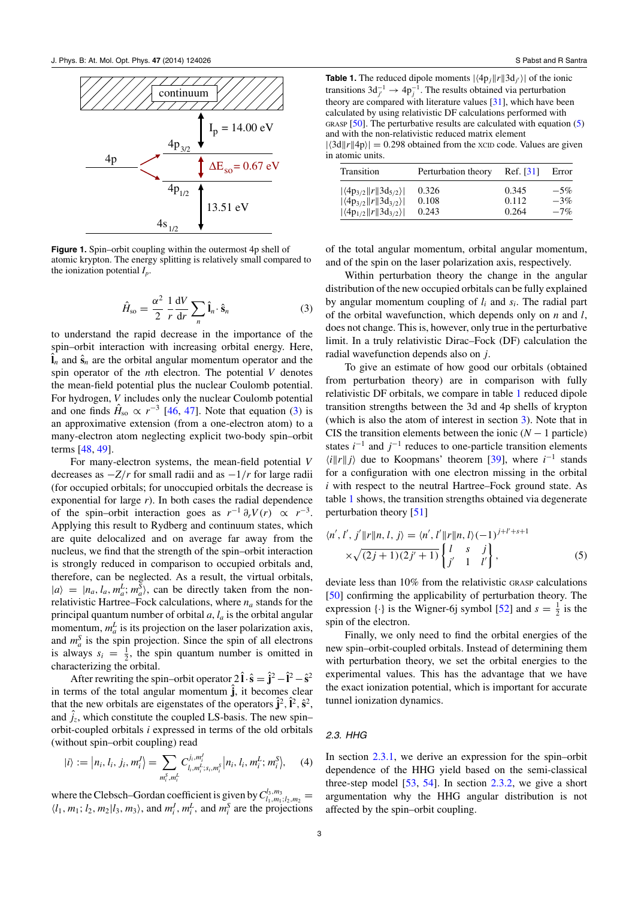<span id="page-3-0"></span>

**Figure 1.** Spin–orbit coupling within the outermost 4p shell of atomic krypton. The energy splitting is relatively small compared to the ionization potential *Ip*.

$$
\hat{H}_{\rm so} = \frac{\alpha^2}{2} \frac{1}{r} \frac{\mathrm{d}V}{\mathrm{d}r} \sum_{n} \hat{\mathbf{l}}_n \cdot \hat{\mathbf{s}}_n \tag{3}
$$

to understand the rapid decrease in the importance of the spin–orbit interaction with increasing orbital energy. Here,  $\hat{\mathbf{l}}_n$  and  $\hat{\mathbf{s}}_n$  are the orbital angular momentum operator and the spin operator of the *n*th electron. The potential *V* denotes the mean-field potential plus the nuclear Coulomb potential. For hydrogen, *V* includes only the nuclear Coulomb potential and one finds  $\hat{H}_{so} \propto r^{-3}$  [\[46,](#page-9-0) [47\]](#page-9-0). Note that equation (3) is an approximative extension (from a one-electron atom) to a many-electron atom neglecting explicit two-body spin–orbit terms [\[48](#page-9-0), [49\]](#page-9-0).

For many-electron systems, the mean-field potential *V* decreases as −*Z*/*r* for small radii and as −1/*r* for large radii (for occupied orbitals; for unoccupied orbitals the decrease is exponential for large *r*). In both cases the radial dependence of the spin–orbit interaction goes as  $r^{-1} \partial_r V(r) \propto r^{-3}$ . Applying this result to Rydberg and continuum states, which are quite delocalized and on average far away from the nucleus, we find that the strength of the spin–orbit interaction is strongly reduced in comparison to occupied orbitals and, therefore, can be neglected. As a result, the virtual orbitals,  $|a\rangle = |n_a, l_a, m_a^L; m_a^S\rangle$ , can be directly taken from the nonrelativistic Hartree–Fock calculations, where  $n_a$  stands for the principal quantum number of orbital *a*, *la* is the orbital angular momentum,  $m_a^L$  is its projection on the laser polarization axis, and  $m_a^S$  is the spin projection. Since the spin of all electrons is always  $s_i = \frac{1}{2}$ , the spin quantum number is omitted in characterizing the orbital.

After rewriting the spin–orbit operator  $2\hat{\mathbf{i}} \cdot \hat{\mathbf{s}} = \hat{\mathbf{j}}^2 - \hat{\mathbf{i}}^2 - \hat{\mathbf{s}}^2$ in terms of the total angular momentum  $\hat{j}$ , it becomes clear that the new orbitals are eigenstates of the operators  $\hat{j}^2$ ,  $\hat{l}^2$ ,  $\hat{s}^2$ , and  $\hat{j}_z$ , which constitute the coupled LS-basis. The new spin– orbit-coupled orbitals *i* expressed in terms of the old orbitals (without spin–orbit coupling) read

$$
|i\rangle := |n_i, l_i, j_i, m_i^J\rangle = \sum_{m_i^S, m_i^L} C_{l_i, m_i^L; s_i, m_i^S}^{j_i, m_i^J} |n_i, l_i, m_i^L; m_i^S\rangle, \quad (4)
$$

where the Clebsch–Gordan coefficient is given by  $C^{l_3,m_3}_{l_1,m_1; l_2,m_2}$  =  $\langle l_1, m_1; l_2, m_2 | l_3, m_3 \rangle$ , and  $m_i^J, m_i^L$ , and  $m_i^S$  are the projections

**Table 1.** The reduced dipole moments  $|\langle 4p_j || r || 3d_j \rangle|$  of the ionic transitions  $3d_{j'}^{-1} \rightarrow 4p_j^{-1}$ . The results obtained via perturbation theory are compared with literature values  $[31]$ , which have been calculated by using relativistic DF calculations performed with GRASP  $[50]$ . The perturbative results are calculated with equation  $(5)$ and with the non-relativistic reduced matrix element  $|\langle 3d||r||4p \rangle| = 0.298$  obtained from the xcip code. Values are given

in atomic units.

| Transition                               | Perturbation theory | Ref. [31] | Error  |
|------------------------------------------|---------------------|-----------|--------|
| $ \langle 4p_{3/2}  r  3d_{5/2}\rangle $ | 0.326               | 0.345     | $-5%$  |
| $ \langle 4p_{3/2}  r  3d_{3/2}\rangle $ | 0.108               | 0.112     | $-3%$  |
| $ \langle 4p_{1/2}  r  3d_{3/2}\rangle $ | 0.243               | 0.264     | $-7\%$ |

of the total angular momentum, orbital angular momentum, and of the spin on the laser polarization axis, respectively.

Within perturbation theory the change in the angular distribution of the new occupied orbitals can be fully explained by angular momentum coupling of *li* and *si*. The radial part of the orbital wavefunction, which depends only on *n* and *l*, does not change. This is, however, only true in the perturbative limit. In a truly relativistic Dirac–Fock (DF) calculation the radial wavefunction depends also on *j*.

To give an estimate of how good our orbitals (obtained from perturbation theory) are in comparison with fully relativistic DF orbitals, we compare in table 1 reduced dipole transition strengths between the 3d and 4p shells of krypton (which is also the atom of interest in section [3\)](#page-5-0). Note that in CIS the transition elements between the ionic  $(N - 1$  particle) states  $i^{-1}$  and  $j^{-1}$  reduces to one-particle transition elements  $\langle i||r||j\rangle$  due to Koopmans' theorem [\[39\]](#page-9-0), where  $i^{-1}$  stands for a configuration with one electron missing in the orbital *i* with respect to the neutral Hartree–Fock ground state. As table 1 shows, the transition strengths obtained via degenerate perturbation theory [\[51\]](#page-9-0)

$$
\langle n', l', j' || r || n, l, j \rangle = \langle n', l' || r || n, l \rangle (-1)^{j+l'+s+1} \times \sqrt{(2j+1)(2j'+1)} \begin{Bmatrix} l & s & j \\ j' & 1 & l' \end{Bmatrix},
$$
 (5)

deviate less than 10% from the relativistic GRASP calculations [\[50](#page-9-0)] confirming the applicability of perturbation theory. The expression  $\{\cdot\}$  is the Wigner-6j symbol [\[52](#page-9-0)] and  $s = \frac{1}{2}$  is the spin of the electron.

Finally, we only need to find the orbital energies of the new spin–orbit-coupled orbitals. Instead of determining them with perturbation theory, we set the orbital energies to the experimental values. This has the advantage that we have the exact ionization potential, which is important for accurate tunnel ionization dynamics.

## 2.3. HHG

In section [2.3.1,](#page-4-0) we derive an expression for the spin–orbit dependence of the HHG yield based on the semi-classical three-step model  $[53, 54]$  $[53, 54]$  $[53, 54]$  $[53, 54]$ . In section [2.3.2,](#page-5-0) we give a short argumentation why the HHG angular distribution is not affected by the spin–orbit coupling.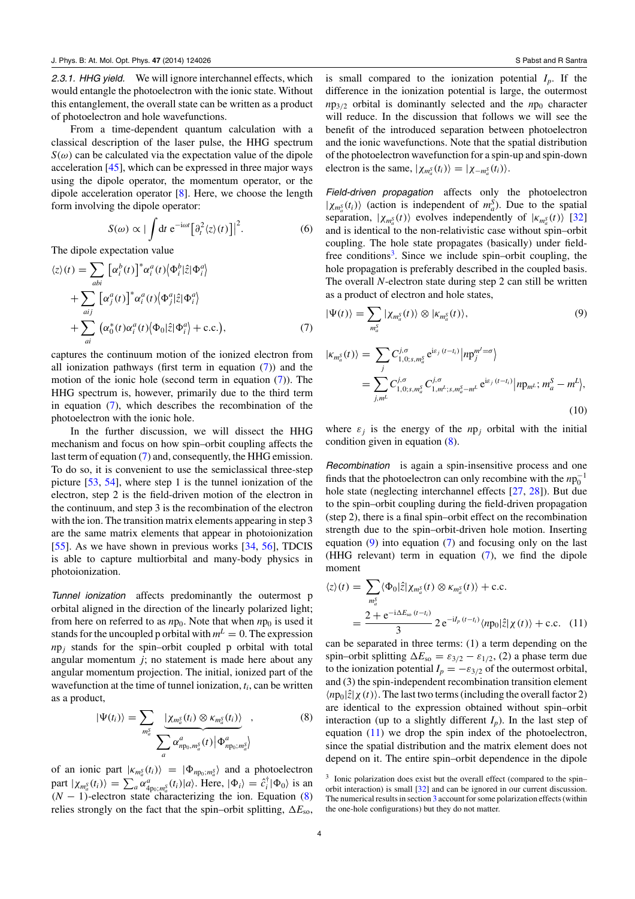<span id="page-4-0"></span>2.3.1. HHG yield. We will ignore interchannel effects, which would entangle the photoelectron with the ionic state. Without this entanglement, the overall state can be written as a product of photoelectron and hole wavefunctions.

From a time-dependent quantum calculation with a classical description of the laser pulse, the HHG spectrum  $S(\omega)$  can be calculated via the expectation value of the dipole acceleration [\[45\]](#page-9-0), which can be expressed in three major ways using the dipole operator, the momentum operator, or the dipole acceleration operator [\[8\]](#page-8-0). Here, we choose the length form involving the dipole operator:

$$
S(\omega) \propto |\int dt \; e^{-i\omega t} [\partial_t^2 \langle z \rangle(t)]|^2.
$$
 (6)

The dipole expectation value

$$
\langle z \rangle(t) = \sum_{abi} \left[ \alpha_i^b(t) \right]^* \alpha_i^a(t) \langle \Phi_i^b | \hat{z} | \Phi_i^a \rangle + \sum_{aij} \left[ \alpha_j^a(t) \right]^* \alpha_i^a(t) \langle \Phi_j^a | \hat{z} | \Phi_i^a \rangle + \sum_{ai} \left( \alpha_0^*(t) \alpha_i^a(t) \langle \Phi_0 | \hat{z} | \Phi_i^a \rangle + \text{c.c.} \right), \tag{7}
$$

captures the continuum motion of the ionized electron from all ionization pathways (first term in equation (7)) and the motion of the ionic hole (second term in equation (7)). The HHG spectrum is, however, primarily due to the third term in equation (7), which describes the recombination of the photoelectron with the ionic hole.

In the further discussion, we will dissect the HHG mechanism and focus on how spin–orbit coupling affects the last term of equation (7) and, consequently, the HHG emission. To do so, it is convenient to use the semiclassical three-step picture [\[53](#page-9-0), [54](#page-9-0)], where step 1 is the tunnel ionization of the electron, step 2 is the field-driven motion of the electron in the continuum, and step 3 is the recombination of the electron with the ion. The transition matrix elements appearing in step 3 are the same matrix elements that appear in photoionization [\[55](#page-9-0)]. As we have shown in previous works [\[34,](#page-8-0) [56](#page-9-0)], TDCIS is able to capture multiorbital and many-body physics in photoionization.

Tunnel ionization affects predominantly the outermost p orbital aligned in the direction of the linearly polarized light; from here on referred to as  $np_0$ . Note that when  $np_0$  is used it stands for the uncoupled p orbital with  $m<sup>L</sup> = 0$ . The expression  $np_i$  stands for the spin–orbit coupled p orbital with total angular momentum *j*; no statement is made here about any angular momentum projection. The initial, ionized part of the wavefunction at the time of tunnel ionization, *ti*, can be written as a product,

$$
|\Psi(t_i)\rangle = \sum_{m_a^S} \frac{|\chi_{m_a^S}(t_i) \otimes \kappa_{m_a^S}(t_i)\rangle}{\sum_a \alpha_{np_0,m_a^S}^a(t) |\Phi_{np_0;m_a^S}^a\rangle},
$$
(8)

of an ionic part  $|k_{m_a^S}(t_i)\rangle = |\Phi_{np_0; m_a^S}\rangle$  and a photoelectron part  $|\chi_{m_a^S}(t_i)\rangle = \sum_a \alpha^a_{4p_0;m_a^S}(t_i)|a\rangle$ . Here,  $|\Phi_i\rangle = \hat{c}_i^{\dagger}|\Phi_0\rangle$  is an  $(N - 1)$ -electron state characterizing the ion. Equation (8) relies strongly on the fact that the spin–orbit splitting,  $\Delta E_{so}$ ,

is small compared to the ionization potential  $I_p$ . If the difference in the ionization potential is large, the outermost  $np_{3/2}$  orbital is dominantly selected and the  $np_0$  character will reduce. In the discussion that follows we will see the benefit of the introduced separation between photoelectron and the ionic wavefunctions. Note that the spatial distribution of the photoelectron wavefunction for a spin-up and spin-down electron is the same,  $|\chi_{m_a^S}(t_i)\rangle = |\chi_{-m_a^S}(t_i)\rangle$ .

Field-driven propagation affects only the photoelectron  $|\chi_{m_a^S}(t_i)\rangle$  (action is independent of  $m_a^S$ ). Due to the spatial separation,  $|\chi_{m_a^S}(t)\rangle$  evolves independently of  $|\kappa_{m_a^S}(t)\rangle$  [\[32\]](#page-8-0) and is identical to the non-relativistic case without spin–orbit coupling. The hole state propagates (basically) under fieldfree conditions<sup>3</sup>. Since we include spin–orbit coupling, the hole propagation is preferably described in the coupled basis. The overall *N*-electron state during step 2 can still be written as a product of electron and hole states,

$$
|\Psi(t)\rangle = \sum_{m_a^S} |\chi_{m_a^S}(t)\rangle \otimes |\kappa_{m_a^S}(t)\rangle, \tag{9}
$$

$$
|K_{m_a^S}(t)\rangle = \sum_j C_{1,0;s,m_a^S}^{j,\sigma} e^{i\varepsilon_j (t-t_i)} |np_j^{m'-\sigma}\rangle
$$
  
= 
$$
\sum_{j,m'} C_{1,0;s,m_a^S}^{j,\sigma} C_{1,m'-s,m_a^S-m'}^{j,\sigma} e^{i\varepsilon_j (t-t_i)} |np_{m'}; m_a^S - m^L\rangle,
$$
  
(10)

where  $\varepsilon_j$  is the energy of the  $np_j$  orbital with the initial condition given in equation (8).

Recombination is again a spin-insensitive process and one finds that the photoelectron can only recombine with the  $np_0^{-1}$ hole state (neglecting interchannel effects [\[27](#page-8-0), [28\]](#page-8-0)). But due to the spin–orbit coupling during the field-driven propagation (step 2), there is a final spin–orbit effect on the recombination strength due to the spin–orbit-driven hole motion. Inserting equation  $(9)$  into equation  $(7)$  and focusing only on the last (HHG relevant) term in equation (7), we find the dipole moment

$$
\langle z \rangle(t) = \sum_{m_a^S} \langle \Phi_0 | \hat{z} | \chi_{m_a^S}(t) \otimes \kappa_{m_a^S}(t) \rangle + \text{c.c.}
$$

$$
= \frac{2 + e^{-i\Delta E_{\text{so}}(t - t_i)}}{3} 2 e^{-iI_p(t - t_i)} \langle np_0 | \hat{z} | \chi(t) \rangle + \text{c.c.} \quad (11)
$$

can be separated in three terms: (1) a term depending on the spin–orbit splitting  $\Delta E_{\rm so} = \varepsilon_{3/2} - \varepsilon_{1/2}$ , (2) a phase term due to the ionization potential  $I_p = -\varepsilon_{3/2}$  of the outermost orbital, and (3) the spin-independent recombination transition element  $\langle np_0|\hat{z}|\chi(t)\rangle$ . The last two terms (including the overall factor 2) are identical to the expression obtained without spin–orbit interaction (up to a slightly different  $I_p$ ). In the last step of equation  $(11)$  we drop the spin index of the photoelectron, since the spatial distribution and the matrix element does not depend on it. The entire spin–orbit dependence in the dipole

<sup>&</sup>lt;sup>3</sup> Ionic polarization does exist but the overall effect (compared to the spin– orbit interaction) is small [\[32\]](#page-8-0) and can be ignored in our current discussion. The numerical results in section [3](#page-5-0) account for some polarization effects (within the one-hole configurations) but they do not matter.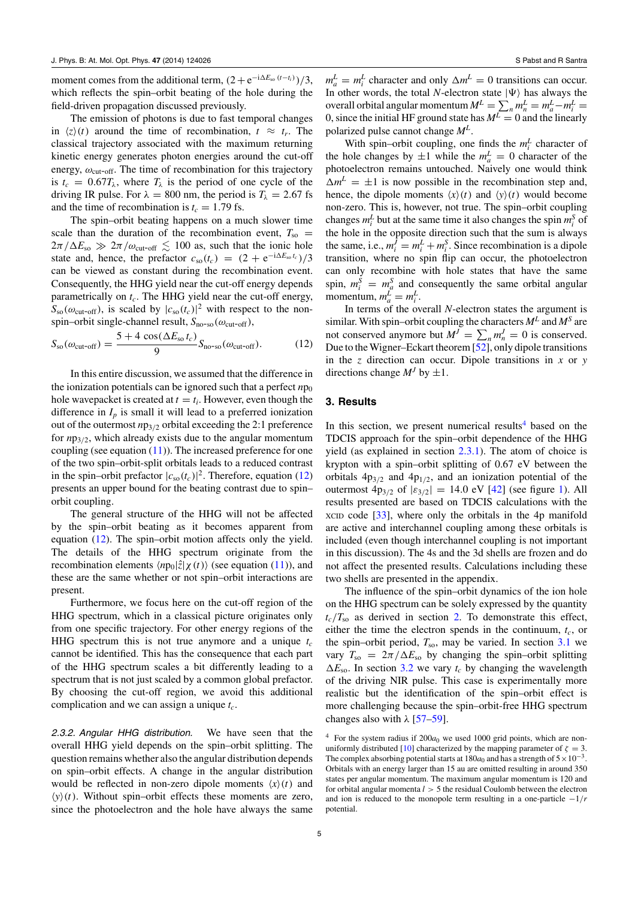<span id="page-5-0"></span>moment comes from the additional term,  $(2 + e^{-i\Delta E_{\rm so}(t-t_i)})/3$ , which reflects the spin–orbit beating of the hole during the field-driven propagation discussed previously.

The emission of photons is due to fast temporal changes in  $\langle z \rangle(t)$  around the time of recombination,  $t \approx t_r$ . The classical trajectory associated with the maximum returning kinetic energy generates photon energies around the cut-off energy,  $\omega_{\text{cut-off}}$ . The time of recombination for this trajectory is  $t_c = 0.67T_\lambda$ , where  $T_\lambda$  is the period of one cycle of the driving IR pulse. For  $\lambda = 800$  nm, the period is  $T_{\lambda} = 2.67$  fs and the time of recombination is  $t_c = 1.79$  fs.

The spin–orbit beating happens on a much slower time scale than the duration of the recombination event,  $T_{\rm so}$  =  $2\pi/\Delta E_{\rm so} \gg 2\pi/\omega_{\rm cut-off} \lesssim 100$  as, such that the ionic hole state and, hence, the prefactor  $c_{so}(t_c) = (2 + e^{-i\Delta E_{so}t_c})/3$ can be viewed as constant during the recombination event. Consequently, the HHG yield near the cut-off energy depends parametrically on  $t_c$ . The HHG yield near the cut-off energy,  $S_{\rm so}(\omega_{\rm cut-off})$ , is scaled by  $|c_{\rm so}(t_c)|^2$  with respect to the nonspin–orbit single-channel result,  $S_{\text{no-so}}(\omega_{\text{cut-off}})$ ,

$$
S_{\rm so}(\omega_{\rm cut-off}) = \frac{5 + 4\,\cos(\Delta E_{\rm so}t_c)}{9} S_{\rm no\text{-}so}(\omega_{\rm cut-off}).\tag{12}
$$

In this entire discussion, we assumed that the difference in the ionization potentials can be ignored such that a perfect  $np_0$ hole wavepacket is created at  $t = t_i$ . However, even though the difference in  $I_p$  is small it will lead to a preferred ionization out of the outermost *n*p3/<sup>2</sup> orbital exceeding the 2:1 preference for *n*p3/2, which already exists due to the angular momentum coupling (see equation  $(11)$ ). The increased preference for one of the two spin–orbit-split orbitals leads to a reduced contrast in the spin–orbit prefactor  $|c_{so}(t_c)|^2$ . Therefore, equation (12) presents an upper bound for the beating contrast due to spin– orbit coupling.

The general structure of the HHG will not be affected by the spin–orbit beating as it becomes apparent from equation (12). The spin–orbit motion affects only the yield. The details of the HHG spectrum originate from the recombination elements  $\langle np_0|\hat{z}|\chi(t)\rangle$  (see equation [\(11\)](#page-4-0)), and these are the same whether or not spin–orbit interactions are present.

Furthermore, we focus here on the cut-off region of the HHG spectrum, which in a classical picture originates only from one specific trajectory. For other energy regions of the HHG spectrum this is not true anymore and a unique  $t_c$ cannot be identified. This has the consequence that each part of the HHG spectrum scales a bit differently leading to a spectrum that is not just scaled by a common global prefactor. By choosing the cut-off region, we avoid this additional complication and we can assign a unique *tc*.

2.3.2. Angular HHG distribution. We have seen that the overall HHG yield depends on the spin–orbit splitting. The question remains whether also the angular distribution depends on spin–orbit effects. A change in the angular distribution would be reflected in non-zero dipole moments  $\langle x \rangle(t)$  and  $\langle y \rangle(t)$ . Without spin–orbit effects these moments are zero, since the photoelectron and the hole have always the same

 $m_a^L = m_i^L$  character and only  $\Delta m^L = 0$  transitions can occur. In other words, the total *N*-electron state  $|\Psi\rangle$  has always the overall orbital angular momentum  $M^L = \sum_n m_n^L = m_a^L - m_i^L =$ 0, since the initial HF ground state has  $M^L = 0$  and the linearly polarized pulse cannot change *M<sup>L</sup>*.

With spin–orbit coupling, one finds the  $m_i^L$  character of the hole changes by  $\pm 1$  while the  $m_a^L = 0$  character of the photoelectron remains untouched. Naively one would think  $\Delta m^L = \pm 1$  is now possible in the recombination step and, hence, the dipole moments  $\langle x \rangle(t)$  and  $\langle y \rangle(t)$  would become non-zero. This is, however, not true. The spin–orbit coupling changes  $m_i^L$  but at the same time it also changes the spin  $m_i^S$  of the hole in the opposite direction such that the sum is always the same, i.e.,  $m_i^J = m_i^L + m_i^S$ . Since recombination is a dipole transition, where no spin flip can occur, the photoelectron can only recombine with hole states that have the same spin,  $m_i^S = m_a^S$  and consequently the same orbital angular momentum,  $m_a^L = m_i^L$ .

In terms of the overall *N*-electron states the argument is similar. With spin–orbit coupling the characters  $M<sup>L</sup>$  and  $M<sup>S</sup>$  are not conserved anymore but  $M^J = \sum_n m_n^J = 0$  is conserved. Due to the Wigner–Eckart theorem [\[52\]](#page-9-0), only dipole transitions in the *z* direction can occur. Dipole transitions in *x* or *y* directions change  $M<sup>J</sup>$  by  $\pm 1$ .

## **3. Results**

In this section, we present numerical results<sup>4</sup> based on the TDCIS approach for the spin–orbit dependence of the HHG yield (as explained in section [2.3.1\)](#page-4-0). The atom of choice is krypton with a spin–orbit splitting of 0.67 eV between the orbitals  $4p_{3/2}$  and  $4p_{1/2}$ , and an ionization potential of the outermost  $4p_{3/2}$  of  $|\varepsilon_{3/2}| = 14.0$  eV [\[42](#page-9-0)] (see figure [1\)](#page-3-0). All results presented are based on TDCIS calculations with the XCID code [\[33](#page-8-0)], where only the orbitals in the 4p manifold are active and interchannel coupling among these orbitals is included (even though interchannel coupling is not important in this discussion). The 4s and the 3d shells are frozen and do not affect the presented results. Calculations including these two shells are presented in the appendix.

The influence of the spin–orbit dynamics of the ion hole on the HHG spectrum can be solely expressed by the quantity  $t_c/T_{so}$  as derived in section [2.](#page-2-0) To demonstrate this effect, either the time the electron spends in the continuum,  $t_c$ , or the spin–orbit period,  $T_{so}$ , may be varied. In section  $3.1$  we vary  $T_{\rm so} = 2\pi/\Delta E_{\rm so}$  by changing the spin–orbit splitting  $\Delta E_{\text{so}}$ . In section [3.2](#page-7-0) we vary  $t_c$  by changing the wavelength of the driving NIR pulse. This case is experimentally more realistic but the identification of the spin–orbit effect is more challenging because the spin–orbit-free HHG spectrum changes also with  $\lambda$  [\[57–59\]](#page-9-0).

 $4$  For the system radius if  $200a_0$  we used 1000 grid points, which are non-uniformly distributed [\[10\]](#page-8-0) characterized by the mapping parameter of  $\zeta = 3$ . The complex absorbing potential starts at  $180a_0$  and has a strength of  $5 \times 10^{-3}$ . Orbitals with an energy larger than 15 au are omitted resulting in around 350 states per angular momentum. The maximum angular momentum is 120 and for orbital angular momenta  $l > 5$  the residual Coulomb between the electron and ion is reduced to the monopole term resulting in a one-particle −1/*r* potential.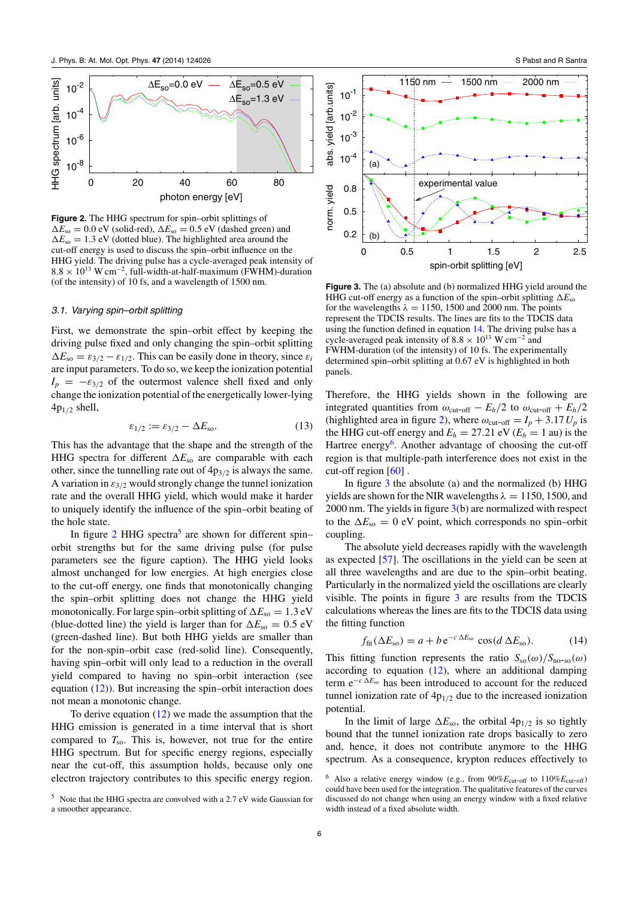<span id="page-6-0"></span>

**Figure 2.** The HHG spectrum for spin–orbit splittings of  $\Delta E_{\rm so} = 0.0$  eV (solid-red),  $\Delta E_{\rm so} = 0.5$  eV (dashed green) and  $\Delta E_{\rm so} = 1.3$  eV (dotted blue). The highlighted area around the cut-off energy is used to discuss the spin–orbit influence on the HHG yield. The driving pulse has a cycle-averaged peak intensity of 8.8 × 1013 W cm<sup>−</sup>2, full-width-at-half-maximum (FWHM)-duration (of the intensity) of 10 fs, and a wavelength of 1500 nm.

#### 3.1. Varying spin–orbit splitting

First, we demonstrate the spin–orbit effect by keeping the driving pulse fixed and only changing the spin–orbit splitting  $\Delta E_{\rm so} = \varepsilon_{3/2} - \varepsilon_{1/2}$ . This can be easily done in theory, since  $\varepsilon_i$ are input parameters. To do so, we keep the ionization potential  $I_p = -\varepsilon_{3/2}$  of the outermost valence shell fixed and only change the ionization potential of the energetically lower-lying  $4p_{1/2}$  shell,

$$
\varepsilon_{1/2} := \varepsilon_{3/2} - \Delta E_{\text{so}}.\tag{13}
$$

This has the advantage that the shape and the strength of the HHG spectra for different  $\Delta E_{so}$  are comparable with each other, since the tunnelling rate out of  $4p_{3/2}$  is always the same. A variation in  $\varepsilon_{3/2}$  would strongly change the tunnel ionization rate and the overall HHG yield, which would make it harder to uniquely identify the influence of the spin–orbit beating of the hole state.

In figure 2 HHG spectra<sup>5</sup> are shown for different spin– orbit strengths but for the same driving pulse (for pulse parameters see the figure caption). The HHG yield looks almost unchanged for low energies. At high energies close to the cut-off energy, one finds that monotonically changing the spin–orbit splitting does not change the HHG yield monotonically. For large spin–orbit splitting of  $\Delta E_{\rm so} = 1.3 \text{ eV}$ (blue-dotted line) the yield is larger than for  $\Delta E_{so} = 0.5$  eV (green-dashed line). But both HHG yields are smaller than for the non-spin–orbit case (red-solid line). Consequently, having spin–orbit will only lead to a reduction in the overall yield compared to having no spin–orbit interaction (see equation  $(12)$ ). But increasing the spin–orbit interaction does not mean a monotonic change.

To derive equation  $(12)$  we made the assumption that the HHG emission is generated in a time interval that is short compared to  $T_{so}$ . This is, however, not true for the entire HHG spectrum. But for specific energy regions, especially near the cut-off, this assumption holds, because only one electron trajectory contributes to this specific energy region.





0 0.5 1 1.5 2 2.5

spin-orbit splitting [eV]

abs. yield [arb.units]

norm. yield

norm. yield

**Figure 3.** The (a) absolute and (b) normalized HHG yield around the HHG cut-off energy as a function of the spin–orbit splitting  $\Delta E_{so}$ for the wavelengths  $\lambda = 1150$ , 1500 and 2000 nm. The points represent the TDCIS results. The lines are fits to the TDCIS data using the function defined in equation 14. The driving pulse has a cycle-averaged peak intensity of  $8.8 \times 10^{13}$  W cm<sup>-2</sup> and FWHM-duration (of the intensity) of 10 fs. The experimentally determined spin–orbit splitting at 0.67 eV is highlighted in both panels.

Therefore, the HHG yields shown in the following are integrated quantities from  $\omega_{\text{cut-off}} - E_h/2$  to  $\omega_{\text{cut-off}} + E_h/2$ (highlighted area in figure 2), where  $\omega_{\text{cut-off}} = I_p + 3.17 U_p$  is the HHG cut-off energy and  $E_h = 27.21$  eV ( $E_h = 1$  au) is the Hartree energy<sup>6</sup>. Another advantage of choosing the cut-off region is that multiple-path interference does not exist in the cut-off region  $[60]$ .

In figure 3 the absolute (a) and the normalized (b) HHG yields are shown for the NIR wavelengths  $\lambda = 1150, 1500,$  and 2000 nm. The yields in figure 3(b) are normalized with respect to the  $\Delta E_{\rm so} = 0$  eV point, which corresponds no spin–orbit coupling.

The absolute yield decreases rapidly with the wavelength as expected [\[57](#page-9-0)]. The oscillations in the yield can be seen at all three wavelengths and are due to the spin–orbit beating. Particularly in the normalized yield the oscillations are clearly visible. The points in figure 3 are results from the TDCIS calculations whereas the lines are fits to the TDCIS data using the fitting function

$$
f_{\text{fit}}(\Delta E_{\text{so}}) = a + b e^{-c \Delta E_{\text{so}}} \cos(d \Delta E_{\text{so}}). \tag{14}
$$

This fitting function represents the ratio  $S_{\rm so}(\omega)/S_{\rm no\text{-}so}(\omega)$ according to equation  $(12)$ , where an additional damping term  $e^{-c \Delta E_{so}}$  has been introduced to account for the reduced tunnel ionization rate of  $4p_{1/2}$  due to the increased ionization potential.

In the limit of large  $\Delta E_{\text{so}}$ , the orbital  $4p_{1/2}$  is so tightly bound that the tunnel ionization rate drops basically to zero and, hence, it does not contribute anymore to the HHG spectrum. As a consequence, krypton reduces effectively to

<sup>&</sup>lt;sup>6</sup> Also a relative energy window (e.g., from  $90\%E_{\text{cut-off}}$  to  $110\%E_{\text{cut-off}}$ ) could have been used for the integration. The qualitative features of the curves discussed do not change when using an energy window with a fixed relative width instead of a fixed absolute width.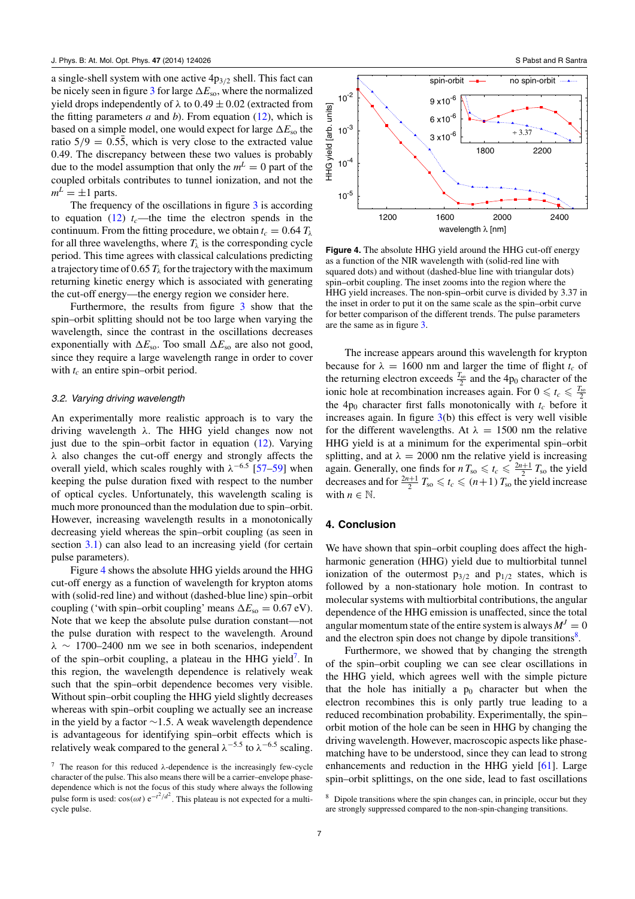<span id="page-7-0"></span>a single-shell system with one active  $4p_{3/2}$  shell. This fact can be nicely seen in figure [3](#page-6-0) for large  $\Delta E_{so}$ , where the normalized yield drops independently of  $\lambda$  to 0.49  $\pm$  0.02 (extracted from the fitting parameters  $a$  and  $b$ ). From equation  $(12)$ , which is based on a simple model, one would expect for large  $\Delta E_{\text{so}}$  the ratio  $5/9 = 0.55$ , which is very close to the extracted value 0.49. The discrepancy between these two values is probably due to the model assumption that only the  $m<sup>L</sup> = 0$  part of the coupled orbitals contributes to tunnel ionization, and not the  $m^L = \pm 1$  parts.

The frequency of the oscillations in figure [3](#page-6-0) is according to equation  $(12)$   $t_c$ —the time the electron spends in the continuum. From the fitting procedure, we obtain  $t_c = 0.64 T_\lambda$ for all three wavelengths, where  $T_{\lambda}$  is the corresponding cycle period. This time agrees with classical calculations predicting a trajectory time of 0.65  $T_{\lambda}$  for the trajectory with the maximum returning kinetic energy which is associated with generating the cut-off energy—the energy region we consider here.

Furthermore, the results from figure [3](#page-6-0) show that the spin–orbit splitting should not be too large when varying the wavelength, since the contrast in the oscillations decreases exponentially with  $\Delta E_{\text{so}}$ . Too small  $\Delta E_{\text{so}}$  are also not good, since they require a large wavelength range in order to cover with  $t_c$  an entire spin–orbit period.

#### 3.2. Varying driving wavelength

An experimentally more realistic approach is to vary the driving wavelength λ. The HHG yield changes now not just due to the spin–orbit factor in equation  $(12)$ . Varying λ also changes the cut-off energy and strongly affects the overall yield, which scales roughly with  $\lambda^{-6.5}$  [\[57–59](#page-9-0)] when keeping the pulse duration fixed with respect to the number of optical cycles. Unfortunately, this wavelength scaling is much more pronounced than the modulation due to spin–orbit. However, increasing wavelength results in a monotonically decreasing yield whereas the spin–orbit coupling (as seen in section [3.1\)](#page-6-0) can also lead to an increasing yield (for certain pulse parameters).

Figure 4 shows the absolute HHG yields around the HHG cut-off energy as a function of wavelength for krypton atoms with (solid-red line) and without (dashed-blue line) spin–orbit coupling ('with spin–orbit coupling' means  $\Delta E_{so} = 0.67 \text{ eV}$ ). Note that we keep the absolute pulse duration constant—not the pulse duration with respect to the wavelength. Around  $\lambda \sim 1700-2400$  nm we see in both scenarios, independent of the spin–orbit coupling, a plateau in the HHG yield<sup>7</sup>. In this region, the wavelength dependence is relatively weak such that the spin–orbit dependence becomes very visible. Without spin–orbit coupling the HHG yield slightly decreases whereas with spin–orbit coupling we actually see an increase in the yield by a factor ∼1.5. A weak wavelength dependence is advantageous for identifying spin–orbit effects which is relatively weak compared to the general  $\lambda^{-5.5}$  to  $\lambda^{-6.5}$  scaling.



**Figure 4.** The absolute HHG yield around the HHG cut-off energy as a function of the NIR wavelength with (solid-red line with squared dots) and without (dashed-blue line with triangular dots) spin–orbit coupling. The inset zooms into the region where the HHG yield increases. The non-spin–orbit curve is divided by 3.37 in the inset in order to put it on the same scale as the spin–orbit curve for better comparison of the different trends. The pulse parameters are the same as in figure [3.](#page-6-0)

The increase appears around this wavelength for krypton because for  $\lambda = 1600$  nm and larger the time of flight  $t_c$  of the returning electron exceeds  $\frac{T_{\rm so}}{2}$  and the 4p<sub>0</sub> character of the ionic hole at recombination increases again. For  $0 \leq t_c \leq \frac{T_{\rm so}}{2}$ the  $4p_0$  character first falls monotonically with  $t_c$  before it increases again. In figure  $3(b)$  $3(b)$  this effect is very well visible for the different wavelengths. At  $\lambda = 1500$  nm the relative HHG yield is at a minimum for the experimental spin–orbit splitting, and at  $\lambda = 2000$  nm the relative yield is increasing again. Generally, one finds for  $n T_{\text{so}} \le t_c \le \frac{2n+1}{2} T_{\text{so}}$  the yield decreases and for  $\frac{2n+1}{2}T_{\text{so}} \leq t_c \leq (n+1)T_{\text{so}}$  the yield increase with  $n \in \mathbb{N}$ .

### **4. Conclusion**

We have shown that spin–orbit coupling does affect the highharmonic generation (HHG) yield due to multiorbital tunnel ionization of the outermost  $p_{3/2}$  and  $p_{1/2}$  states, which is followed by a non-stationary hole motion. In contrast to molecular systems with multiorbital contributions, the angular dependence of the HHG emission is unaffected, since the total angular momentum state of the entire system is always  $M<sup>J</sup> = 0$ and the electron spin does not change by dipole transitions $8$ .

Furthermore, we showed that by changing the strength of the spin–orbit coupling we can see clear oscillations in the HHG yield, which agrees well with the simple picture that the hole has initially a  $p_0$  character but when the electron recombines this is only partly true leading to a reduced recombination probability. Experimentally, the spin– orbit motion of the hole can be seen in HHG by changing the driving wavelength. However, macroscopic aspects like phasematching have to be understood, since they can lead to strong enhancements and reduction in the HHG yield [\[61](#page-9-0)]. Large spin–orbit splittings, on the one side, lead to fast oscillations

<sup>&</sup>lt;sup>7</sup> The reason for this reduced  $\lambda$ -dependence is the increasingly few-cycle character of the pulse. This also means there will be a carrier–envelope phasedependence which is not the focus of this study where always the following pulse form is used:  $cos(\omega t) e^{-t^2/d^2}$ . This plateau is not expected for a multicycle pulse.

<sup>8</sup> Dipole transitions where the spin changes can, in principle, occur but they are strongly suppressed compared to the non-spin-changing transitions.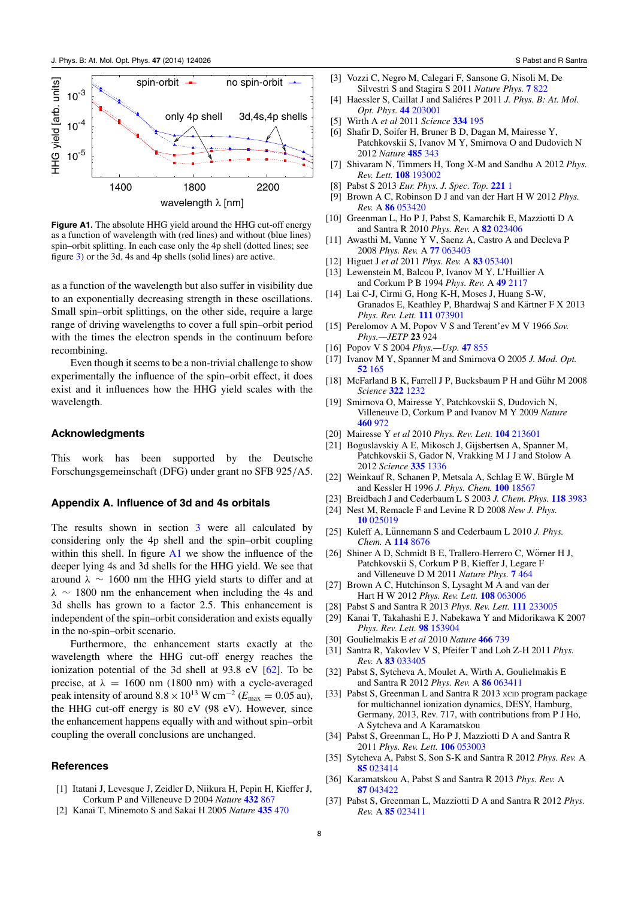<span id="page-8-0"></span>

**Figure A1.** The absolute HHG yield around the HHG cut-off energy as a function of wavelength with (red lines) and without (blue lines) spin–orbit splitting. In each case only the 4p shell (dotted lines; see figure [3\)](#page-6-0) or the 3d, 4s and 4p shells (solid lines) are active.

as a function of the wavelength but also suffer in visibility due to an exponentially decreasing strength in these oscillations. Small spin–orbit splittings, on the other side, require a large range of driving wavelengths to cover a full spin–orbit period with the times the electron spends in the continuum before recombining.

Even though it seems to be a non-trivial challenge to show experimentally the influence of the spin–orbit effect, it does exist and it influences how the HHG yield scales with the wavelength.

### **Acknowledgments**

This work has been supported by the Deutsche Forschungsgemeinschaft (DFG) under grant no SFB 925*/*A5.

#### **Appendix A. Influence of 3d and 4s orbitals**

The results shown in section [3](#page-5-0) were all calculated by considering only the 4p shell and the spin–orbit coupling within this shell. In figure A1 we show the influence of the deeper lying 4s and 3d shells for the HHG yield. We see that around  $\lambda \sim 1600$  nm the HHG yield starts to differ and at  $\lambda \sim 1800$  nm the enhancement when including the 4s and 3d shells has grown to a factor 2.5. This enhancement is independent of the spin–orbit consideration and exists equally in the no-spin–orbit scenario.

Furthermore, the enhancement starts exactly at the wavelength where the HHG cut-off energy reaches the ionization potential of the 3d shell at 93.8 eV [\[62](#page-9-0)]. To be precise, at  $\lambda = 1600$  nm (1800 nm) with a cycle-averaged peak intensity of around  $8.8 \times 10^{13}$  W cm<sup>-2</sup> ( $E_{\text{max}} = 0.05$  au), the HHG cut-off energy is 80 eV (98 eV). However, since the enhancement happens equally with and without spin–orbit coupling the overall conclusions are unchanged.

## **References**

- [1] Itatani J, Levesque J, Zeidler D, Niikura H, Pepin H, Kieffer J, Corkum P and Villeneuve D 2004 *Nature* **[432](http://dx.doi.org/10.1038/nature03183)** 867
- [2] Kanai T, Minemoto S and Sakai H 2005 *Nature* **[435](http://dx.doi.org/10.1038/nature03577)** 470
- [3] Vozzi C, Negro M, Calegari F, Sansone G, Nisoli M, De Silvestri S and Stagira S 2011 *Nature Phys.* **7** [822](http://dx.doi.org/10.1038/nphys2029)
- [4] Haessler S, Caillat J and Saliéres P 2011 J. Phys. B: At. Mol. *Opt. Phys.* **44** [203001](http://dx.doi.org/10.1088/0953-4075/44/20/203001)
- [5] Wirth A *et al* 2011 *Science* **[334](http://dx.doi.org/10.1126/science.1210268)** 195
- [6] Shafir D, Soifer H, Bruner B D, Dagan M, Mairesse Y, Patchkovskii S, Ivanov M Y, Smirnova O and Dudovich N 2012 *Nature* **[485](http://dx.doi.org/10.1038/nature11025)** 343
- [7] Shivaram N, Timmers H, Tong X-M and Sandhu A 2012 *Phys. Rev. Lett.* **108** [193002](http://dx.doi.org/10.1103/PhysRevLett.108.193002)
- [8] Pabst S 2013 *Eur. Phys. J. Spec. Top.* **[221](http://dx.doi.org/10.1140/epjst/e2013-01819-x)** 1
- [9] Brown A C, Robinson D J and van der Hart H W 2012 *Phys. Rev.* A **86** [053420](http://dx.doi.org/10.1103/PhysRevA.86.053420)
- [10] Greenman L, Ho P J, Pabst S, Kamarchik E, Mazziotti D A and Santra R 2010 *Phys. Rev.* A **82** [023406](http://dx.doi.org/10.1103/PhysRevA.82.023406)
- [11] Awasthi M, Vanne Y V, Saenz A, Castro A and Decleva P 2008 *Phys. Rev.* A **77** [063403](http://dx.doi.org/10.1103/PhysRevA.77.063403)
- [12] Higuet J *et al* 2011 *Phys. Rev.* A **83** [053401](http://dx.doi.org/10.1103/PhysRevA.83.053401)
- [13] Lewenstein M, Balcou P, Ivanov M Y, L'Huillier A and Corkum P B 1994 *Phys. Rev.* A **49** [2117](http://dx.doi.org/10.1103/PhysRevA.49.2117)
- [14] Lai C-J, Cirmi G, Hong K-H, Moses J, Huang S-W, Granados E, Keathley P, Bhardwaj S and Kärtner F X 2013 *Phys. Rev. Lett.* **111** [073901](http://dx.doi.org/10.1103/PhysRevLett.111.073901)
- [15] Perelomov A M, Popov V S and Terent'ev M V 1966 *Sov. Phys.—JETP* **23** 924
- [16] Popov V S 2004 *Phys.—Usp.* **47** [855](http://dx.doi.org/10.1070/PU2004v047n09ABEH001812)
- [17] Ivanov M Y, Spanner M and Smirnova O 2005 *J. Mod. Opt.* **52** [165](http://dx.doi.org/10.1080/0950034042000275360)
- [18] McFarland B K, Farrell J P, Bucksbaum P H and Gühr M 2008 *Science* **322** [1232](http://dx.doi.org/10.1126/science.1162780)
- [19] Smirnova O, Mairesse Y, Patchkovskii S, Dudovich N, Villeneuve D, Corkum P and Ivanov M Y 2009 *Nature* **[460](http://dx.doi.org/10.1038/nature08253)** 972
- [20] Mairesse Y *et al* 2010 *Phys. Rev. Lett.* **104** [213601](http://dx.doi.org/10.1103/PhysRevLett.104.213601)
- [21] Boguslavskiy A E, Mikosch J, Gijsbertsen A, Spanner M, Patchkovskii S, Gador N, Vrakking M J J and Stolow A 2012 *Science* **335** [1336](http://dx.doi.org/10.1126/science.1212896)
- [22] Weinkauf R, Schanen P, Metsala A, Schlag E W, Bürgle M and Kessler H 1996 *J. Phys. Chem.* **100** [18567](http://dx.doi.org/10.1021/jp960926m)
- [23] Breidbach J and Cederbaum L S 2003 *J. Chem. Phys.* **118** [3983](http://dx.doi.org/10.1063/1.1540618)
- [24] Nest M, Remacle F and Levine R D 2008 *New J. Phys.* **10** [025019](http://dx.doi.org/10.1088/1367-2630/10/2/025019)
- [25] Kuleff A, Lünnemann S and Cederbaum L 2010 J. Phys. *Chem.* A **114** [8676](http://dx.doi.org/10.1021/jp101256n)
- [26] Shiner A D, Schmidt B E, Trallero-Herrero C, Wörner H J, Patchkovskii S, Corkum P B, Kieffer J, Legare F and Villeneuve D M 2011 *Nature Phys.* **7** [464](http://dx.doi.org/10.1038/nphys1940)
- [27] Brown A C, Hutchinson S, Lysaght M A and van der Hart H W 2012 *Phys. Rev. Lett.* **108** [063006](http://dx.doi.org/10.1103/PhysRevLett.108.063006)
- [28] Pabst S and Santra R 2013 *Phys. Rev. Lett.* **111** [233005](http://dx.doi.org/10.1103/PhysRevLett.111.233005)
- [29] Kanai T, Takahashi E J, Nabekawa Y and Midorikawa K 2007 *Phys. Rev. Lett.* **98** [153904](http://dx.doi.org/10.1103/PhysRevLett.98.153904)
- [30] Goulielmakis E *et al* 2010 *Nature* **[466](http://dx.doi.org/10.1038/nature09212)** 739
- [31] Santra R, Yakovlev V S, Pfeifer T and Loh Z-H 2011 *Phys. Rev.* A **83** [033405](http://dx.doi.org/10.1103/PhysRevA.83.033405)
- [32] Pabst S, Sytcheva A, Moulet A, Wirth A, Goulielmakis E and Santra R 2012 *Phys. Rev.* A **86** [063411](http://dx.doi.org/10.1103/PhysRevA.86.063411)
- [33] Pabst S, Greenman L and Santra R 2013 xcm program package for multichannel ionization dynamics, DESY, Hamburg, Germany, 2013, Rev. 717, with contributions from P J Ho, A Sytcheva and A Karamatskou
- [34] Pabst S, Greenman L, Ho P J, Mazziotti D A and Santra R 2011 *Phys. Rev. Lett.* **106** [053003](http://dx.doi.org/10.1103/PhysRevLett.106.053003)
- [35] Sytcheva A, Pabst S, Son S-K and Santra R 2012 *Phys. Rev.* A **85** [023414](http://dx.doi.org/10.1103/PhysRevA.85.023414)
- [36] Karamatskou A, Pabst S and Santra R 2013 *Phys. Rev.* A **87** [043422](http://dx.doi.org/10.1103/PhysRevA.87.043422)
- [37] Pabst S, Greenman L, Mazziotti D A and Santra R 2012 *Phys. Rev.* A **85** [023411](http://dx.doi.org/10.1103/PhysRevA.85.023411)